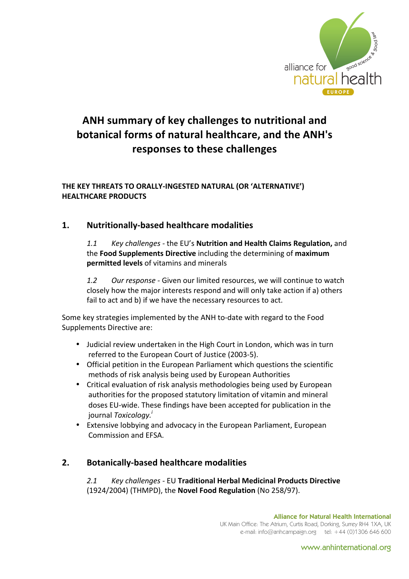

# ANH summary of key challenges to nutritional and **botanical forms of natural healthcare, and the ANH's responses to these challenges**

#### THE KEY THREATS TO ORALLY-INGESTED NATURAL (OR 'ALTERNATIVE') **HEALTHCARE!PRODUCTS**

#### **1.** Nutritionally-based healthcare modalities

*1.1 • Key challenges - the EU's Nutrition and Health Claims Regulation, and* the **Food Supplements Directive** including the determining of maximum **permitted levels** of vitamins and minerals

1.2 *Our response -* Given our limited resources, we will continue to watch closely how the major interests respond and will only take action if a) others fail to act and b) if we have the necessary resources to act.

Some key strategies implemented by the ANH to-date with regard to the Food Supplements Directive are:

- Judicial review undertaken in the High Court in London, which was in turn referred to the European Court of Justice (2003-5).
- Official petition in the European Parliament which questions the scientific methods of risk analysis being used by European Authorities
- Critical evaluation of risk analysis methodologies being used by European authorities for the proposed statutory limitation of vitamin and mineral doses EU-wide. These findings have been accepted for publication in the journal *Toxicology.<sup>i</sup>*
- Extensive lobbying and advocacy in the European Parliament, European Commission and FFSA.

### **2.** Botanically-based healthcare modalities

*2.1# Key#challenges .* EU!**Traditional!Herbal!Medicinal!Products!Directive** (1924/2004) (THMPD), the **Novel Food Regulation** (No 258/97).

www.anhinternational.org